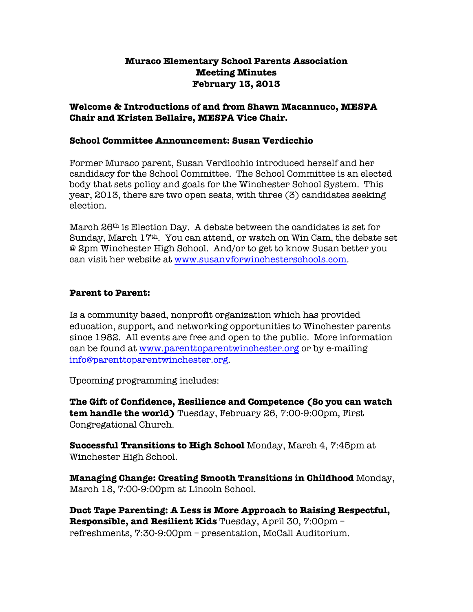### **Muraco Elementary School Parents Association Meeting Minutes February 13, 2013**

### **Welcome & Introductions of and from Shawn Macannuco, MESPA Chair and Kristen Bellaire, MESPA Vice Chair.**

#### **School Committee Announcement: Susan Verdicchio**

Former Muraco parent, Susan Verdicchio introduced herself and her candidacy for the School Committee. The School Committee is an elected body that sets policy and goals for the Winchester School System. This year, 2013, there are two open seats, with three (3) candidates seeking election.

March  $26<sup>th</sup>$  is Election Day. A debate between the candidates is set for Sunday, March 17th. You can attend, or watch on Win Cam, the debate set @ 2pm Winchester High School. And/or to get to know Susan better you can visit her website at www.susanvforwinchesterschools.com.

#### **Parent to Parent:**

Is a community based, nonprofit organization which has provided education, support, and networking opportunities to Winchester parents since 1982. All events are free and open to the public. More information can be found at www.parenttoparentwinchester.org or by e-mailing info@parenttoparentwinchester.org.

Upcoming programming includes:

**The Gift of Confidence, Resilience and Competence (So you can watch tem handle the world)** Tuesday, February 26, 7:00-9:00pm, First Congregational Church.

**Successful Transitions to High School** Monday, March 4, 7:45pm at Winchester High School.

**Managing Change: Creating Smooth Transitions in Childhood** Monday, March 18, 7:00-9:00pm at Lincoln School.

**Duct Tape Parenting: A Less is More Approach to Raising Respectful, Responsible, and Resilient Kids** Tuesday, April 30, 7:00pm – refreshments, 7:30-9:00pm – presentation, McCall Auditorium.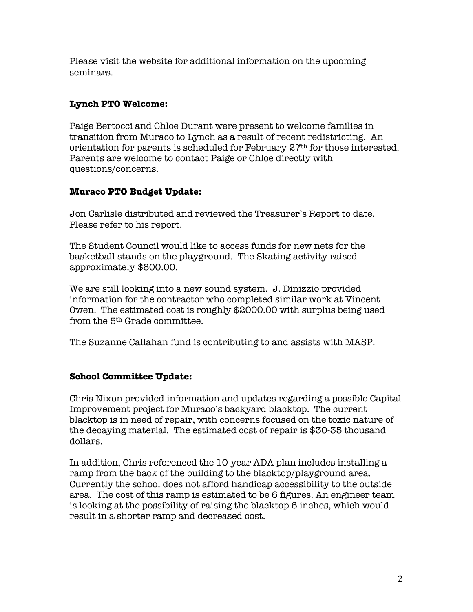Please visit the website for additional information on the upcoming seminars.

## **Lynch PTO Welcome:**

Paige Bertocci and Chloe Durant were present to welcome families in transition from Muraco to Lynch as a result of recent redistricting. An orientation for parents is scheduled for February 27th for those interested. Parents are welcome to contact Paige or Chloe directly with questions/concerns.

# **Muraco PTO Budget Update:**

Jon Carlisle distributed and reviewed the Treasurer's Report to date. Please refer to his report.

The Student Council would like to access funds for new nets for the basketball stands on the playground. The Skating activity raised approximately \$800.00.

We are still looking into a new sound system. J. Dinizzio provided information for the contractor who completed similar work at Vincent Owen. The estimated cost is roughly \$2000.00 with surplus being used from the 5th Grade committee.

The Suzanne Callahan fund is contributing to and assists with MASP.

# **School Committee Update:**

Chris Nixon provided information and updates regarding a possible Capital Improvement project for Muraco's backyard blacktop. The current blacktop is in need of repair, with concerns focused on the toxic nature of the decaying material. The estimated cost of repair is \$30-35 thousand dollars.

In addition, Chris referenced the 10-year ADA plan includes installing a ramp from the back of the building to the blacktop/playground area. Currently the school does not afford handicap accessibility to the outside area. The cost of this ramp is estimated to be 6 figures. An engineer team is looking at the possibility of raising the blacktop 6 inches, which would result in a shorter ramp and decreased cost.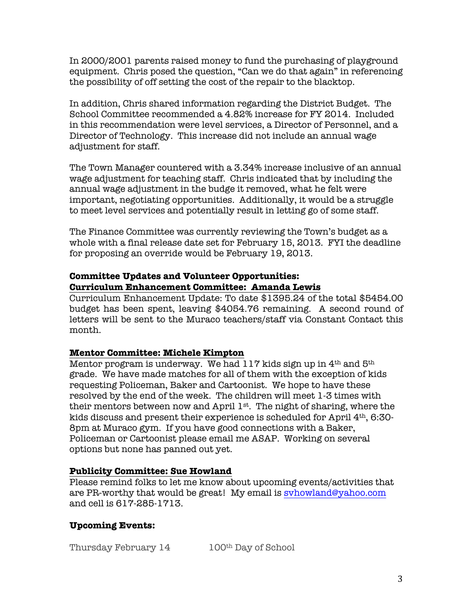In 2000/2001 parents raised money to fund the purchasing of playground equipment. Chris posed the question, "Can we do that again" in referencing the possibility of off setting the cost of the repair to the blacktop.

In addition, Chris shared information regarding the District Budget. The School Committee recommended a 4.82% increase for FY 2014. Included in this recommendation were level services, a Director of Personnel, and a Director of Technology. This increase did not include an annual wage adjustment for staff.

The Town Manager countered with a 3.34% increase inclusive of an annual wage adjustment for teaching staff. Chris indicated that by including the annual wage adjustment in the budge it removed, what he felt were important, negotiating opportunities. Additionally, it would be a struggle to meet level services and potentially result in letting go of some staff.

The Finance Committee was currently reviewing the Town's budget as a whole with a final release date set for February 15, 2013. FYI the deadline for proposing an override would be February 19, 2013.

### **Committee Updates and Volunteer Opportunities: Curriculum Enhancement Committee: Amanda Lewis**

Curriculum Enhancement Update: To date \$1395.24 of the total \$5454.00 budget has been spent, leaving \$4054.76 remaining. A second round of letters will be sent to the Muraco teachers/staff via Constant Contact this month.

#### **Mentor Committee: Michele Kimpton**

Mentor program is underway. We had  $117$  kids sign up in  $4<sup>th</sup>$  and  $5<sup>th</sup>$ grade. We have made matches for all of them with the exception of kids requesting Policeman, Baker and Cartoonist. We hope to have these resolved by the end of the week. The children will meet 1-3 times with their mentors between now and April  $1^{st}$ . The night of sharing, where the kids discuss and present their experience is scheduled for April 4th, 6:30- 8pm at Muraco gym. If you have good connections with a Baker, Policeman or Cartoonist please email me ASAP. Working on several options but none has panned out yet.

## **Publicity Committee: Sue Howland**

Please remind folks to let me know about upcoming events/activities that are PR-worthy that would be great! My email is svhowland@yahoo.com and cell is 617-285-1713.

## **Upcoming Events:**

Thursday February 14 100<sup>th</sup> Day of School